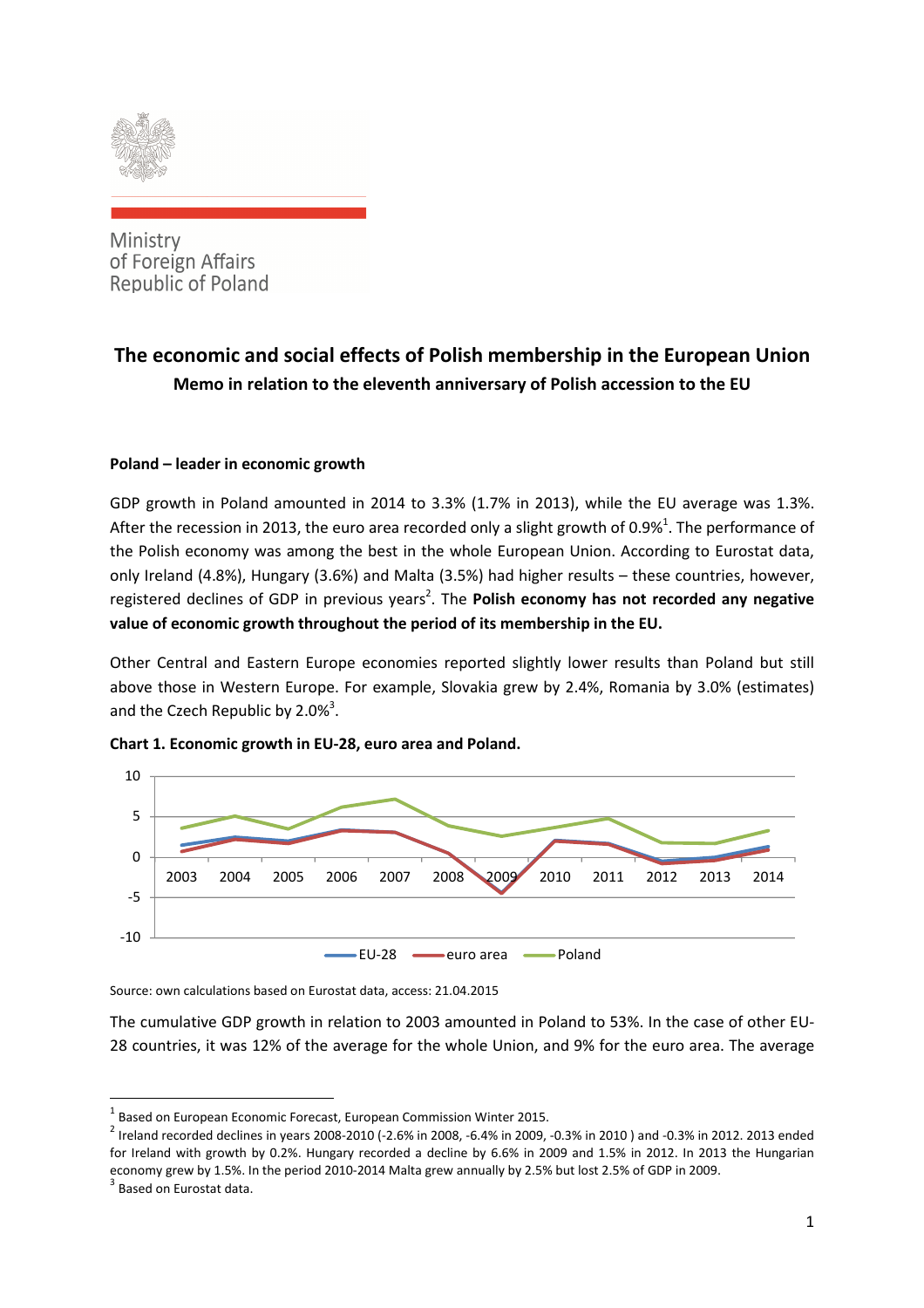

Ministry of Foreign Affairs **Republic of Poland** 

# **The economic and social effects of Polish membership in the European Union Memo in relation to the eleventh anniversary of Polish accession to the EU**

## **Poland – leader in economic growth**

GDP growth in Poland amounted in 2014 to 3.3% (1.7% in 2013), while the EU average was 1.3%. After the recession in 2013, the euro area recorded only a slight growth of 0.9%<sup>1</sup>. The performance of the Polish economy was among the best in the whole European Union. According to Eurostat data, only Ireland (4.8%), Hungary (3.6%) and Malta (3.5%) had higher results – these countries, however, registered declines of GDP in previous years<sup>2</sup>. The Polish economy has not recorded any negative **value of economic growth throughout the period of its membership in the EU.** 

Other Central and Eastern Europe economies reported slightly lower results than Poland but still above those in Western Europe. For example, Slovakia grew by 2.4%, Romania by 3.0% (estimates) and the Czech Republic by  $2.0\%$ <sup>3</sup>.



**Chart 1. Economic growth in EU-28, euro area and Poland.**

Source: own calculations based on Eurostat data, access: 21.04.2015

The cumulative GDP growth in relation to 2003 amounted in Poland to 53%. In the case of other EU-28 countries, it was 12% of the average for the whole Union, and 9% for the euro area. The average

 $<sup>1</sup>$  Based on European Economic Forecast, European Commission Winter 2015.</sup>

 $^2$  Ireland recorded declines in years 2008-2010 (-2.6% in 2008, -6.4% in 2009, -0.3% in 2010) and -0.3% in 2012. 2013 ended for Ireland with growth by 0.2%. Hungary recorded a decline by 6.6% in 2009 and 1.5% in 2012. In 2013 the Hungarian economy grew by 1.5%. In the period 2010-2014 Malta grew annually by 2.5% but lost 2.5% of GDP in 2009.

<sup>&</sup>lt;sup>3</sup> Based on Eurostat data.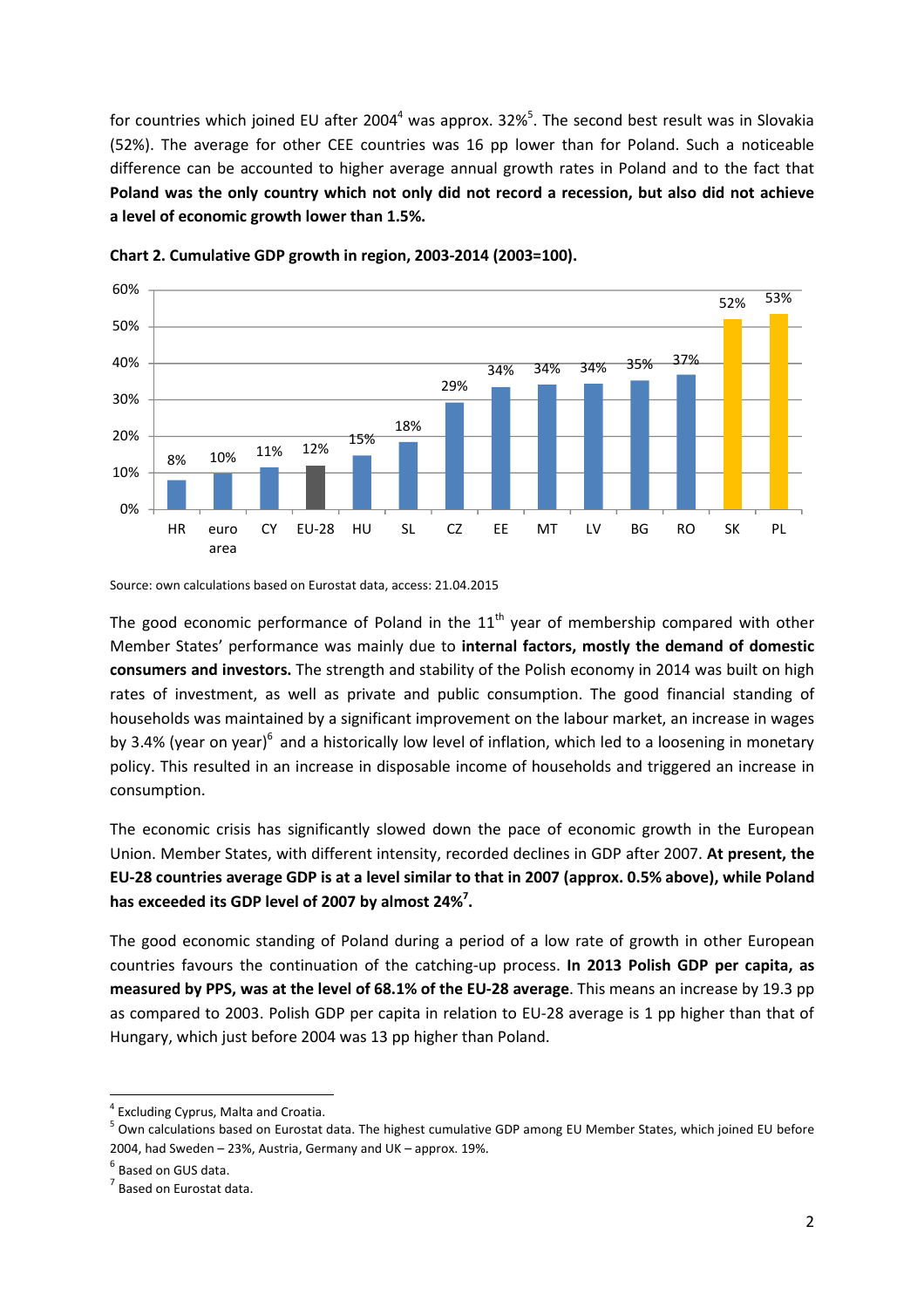for countries which joined EU after 2004<sup>4</sup> was approx. 32%<sup>5</sup>. The second best result was in Slovakia (52%). The average for other CEE countries was 16 pp lower than for Poland. Such a noticeable difference can be accounted to higher average annual growth rates in Poland and to the fact that **Poland was the only country which not only did not record a recession, but also did not achieve a level of economic growth lower than 1.5%.** 



**Chart 2. Cumulative GDP growth in region, 2003-2014 (2003=100).** 

Source: own calculations based on Eurostat data, access: 21.04.2015

The good economic performance of Poland in the  $11<sup>th</sup>$  year of membership compared with other Member States' performance was mainly due to **internal factors, mostly the demand of domestic consumers and investors.** The strength and stability of the Polish economy in 2014 was built on high rates of investment, as well as private and public consumption. The good financial standing of households was maintained by a significant improvement on the labour market, an increase in wages by 3.4% (year on year) $^6$  and a historically low level of inflation, which led to a loosening in monetary policy. This resulted in an increase in disposable income of households and triggered an increase in consumption.

The economic crisis has significantly slowed down the pace of economic growth in the European Union. Member States, with different intensity, recorded declines in GDP after 2007. **At present, the EU-28 countries average GDP is at a level similar to that in 2007 (approx. 0.5% above), while Poland has exceeded its GDP level of 2007 by almost 24%<sup>7</sup> .** 

The good economic standing of Poland during a period of a low rate of growth in other European countries favours the continuation of the catching-up process. **In 2013 Polish GDP per capita, as measured by PPS, was at the level of 68.1% of the EU-28 average**. This means an increase by 19.3 pp as compared to 2003. Polish GDP per capita in relation to EU-28 average is 1 pp higher than that of Hungary, which just before 2004 was 13 pp higher than Poland.

<sup>&</sup>lt;sup>4</sup> Excluding Cyprus, Malta and Croatia.

<sup>&</sup>lt;sup>5</sup> Own calculations based on Eurostat data. The highest cumulative GDP among EU Member States, which joined EU before 2004, had Sweden – 23%, Austria, Germany and UK – approx. 19%.

<sup>&</sup>lt;sup>6</sup> Based on GUS data.

 $<sup>7</sup>$  Based on Eurostat data.</sup>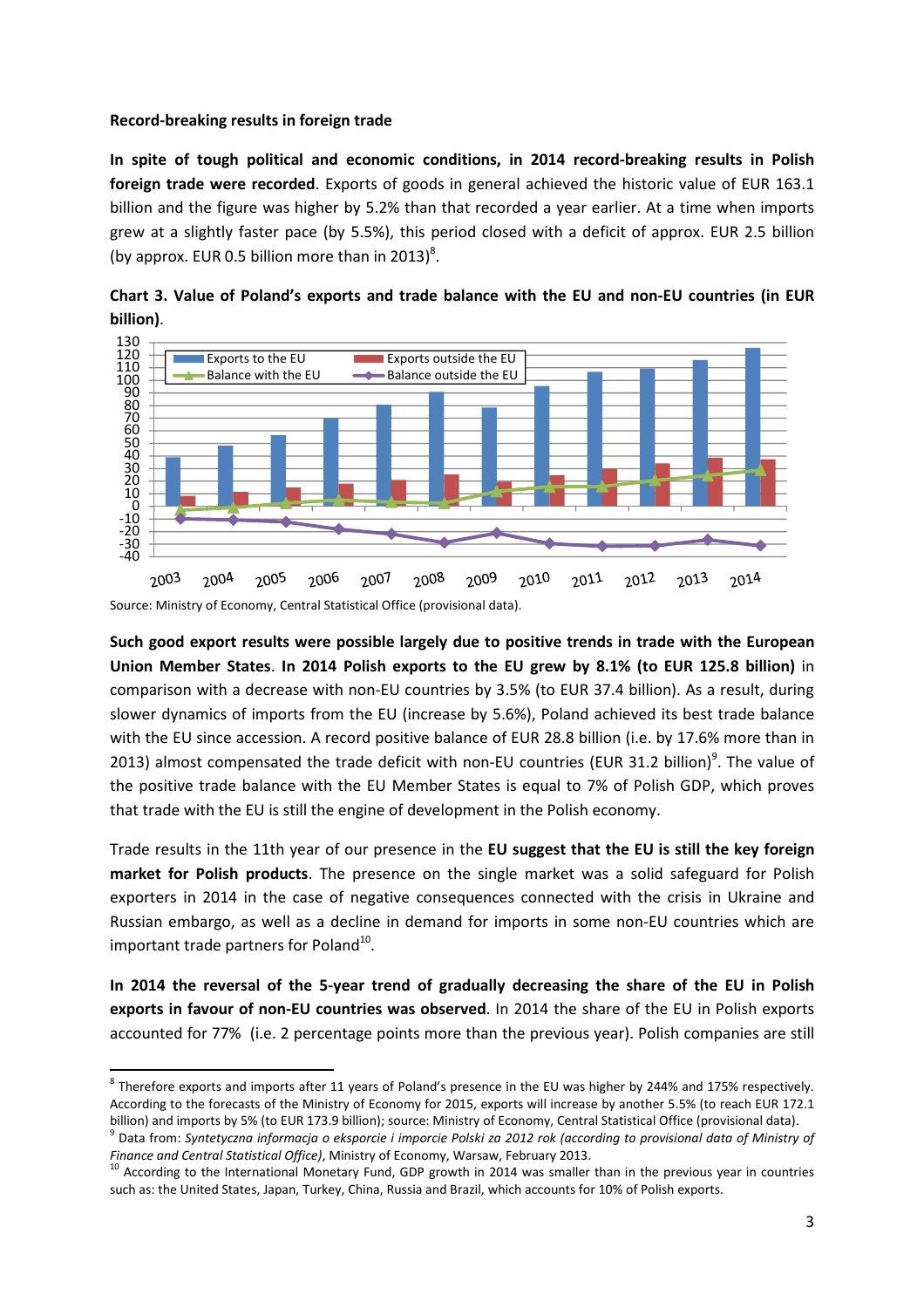#### **Record-breaking results in foreign trade**

**In spite of tough political and economic conditions, in 2014 record-breaking results in Polish foreign trade were recorded**. Exports of goods in general achieved the historic value of EUR 163.1 billion and the figure was higher by 5.2% than that recorded a year earlier. At a time when imports grew at a slightly faster pace (by 5.5%), this period closed with a deficit of approx. EUR 2.5 billion (by approx. EUR 0.5 billion more than in 2013)<sup>8</sup>.





**Such good export results were possible largely due to positive trends in trade with the European Union Member States**. **In 2014 Polish exports to the EU grew by 8.1% (to EUR 125.8 billion)** in comparison with a decrease with non-EU countries by 3.5% (to EUR 37.4 billion). As a result, during slower dynamics of imports from the EU (increase by 5.6%), Poland achieved its best trade balance with the EU since accession. A record positive balance of EUR 28.8 billion (i.e. by 17.6% more than in 2013) almost compensated the trade deficit with non-EU countries (EUR 31.2 billion)<sup>9</sup>. The value of the positive trade balance with the EU Member States is equal to 7% of Polish GDP, which proves that trade with the EU is still the engine of development in the Polish economy.

Trade results in the 11th year of our presence in the **EU suggest that the EU is still the key foreign market for Polish products**. The presence on the single market was a solid safeguard for Polish exporters in 2014 in the case of negative consequences connected with the crisis in Ukraine and Russian embargo, as well as a decline in demand for imports in some non-EU countries which are important trade partners for Poland<sup>10</sup>.

**In 2014 the reversal of the 5-year trend of gradually decreasing the share of the EU in Polish exports in favour of non-EU countries was observed**. In 2014 the share of the EU in Polish exports accounted for 77% (i.e. 2 percentage points more than the previous year). Polish companies are still

Source: Ministry of Economy, Central Statistical Office (provisional data).

 $\overline{\phantom{a}}$  $^8$  Therefore exports and imports after 11 years of Poland's presence in the EU was higher by 244% and 175% respectively. According to the forecasts of the Ministry of Economy for 2015, exports will increase by another 5.5% (to reach EUR 172.1 billion) and imports by 5% (to EUR 173.9 billion); source: Ministry of Economy, Central Statistical Office (provisional data).

<sup>&</sup>lt;sup>9</sup> Data from: Syntetyczna informacja o eksporcie i imporcie Polski za 2012 rok (according to provisional data of Ministry of *Finance and Central Statistical Office)*, Ministry of Economy, Warsaw, February 2013.

<sup>&</sup>lt;sup>10</sup> According to the International Monetary Fund, GDP growth in 2014 was smaller than in the previous year in countries such as: the United States, Japan, Turkey, China, Russia and Brazil, which accounts for 10% of Polish exports.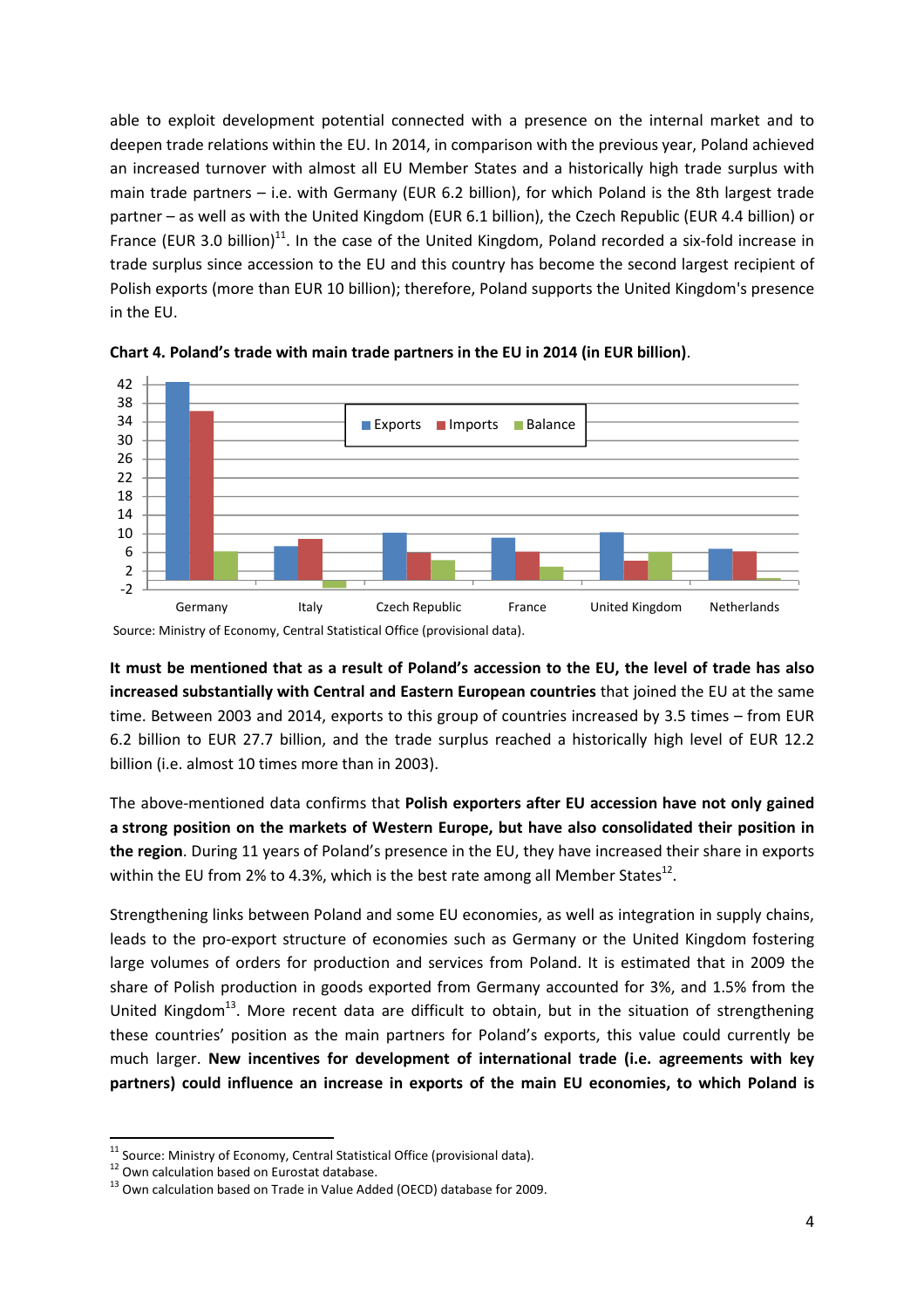able to exploit development potential connected with a presence on the internal market and to deepen trade relations within the EU. In 2014, in comparison with the previous year, Poland achieved an increased turnover with almost all EU Member States and a historically high trade surplus with main trade partners – i.e. with Germany (EUR 6.2 billion), for which Poland is the 8th largest trade partner – as well as with the United Kingdom (EUR 6.1 billion), the Czech Republic (EUR 4.4 billion) or France (EUR 3.0 billion)<sup>11</sup>. In the case of the United Kingdom, Poland recorded a six-fold increase in trade surplus since accession to the EU and this country has become the second largest recipient of Polish exports (more than EUR 10 billion); therefore, Poland supports the United Kingdom's presence in the EU.





**It must be mentioned that as a result of Poland's accession to the EU, the level of trade has also increased substantially with Central and Eastern European countries** that joined the EU at the same time. Between 2003 and 2014, exports to this group of countries increased by 3.5 times – from EUR 6.2 billion to EUR 27.7 billion, and the trade surplus reached a historically high level of EUR 12.2 billion (i.e. almost 10 times more than in 2003).

The above-mentioned data confirms that **Polish exporters after EU accession have not only gained a strong position on the markets of Western Europe, but have also consolidated their position in the region**. During 11 years of Poland's presence in the EU, they have increased their share in exports within the EU from 2% to 4.3%, which is the best rate among all Member States<sup>12</sup>.

Strengthening links between Poland and some EU economies, as well as integration in supply chains, leads to the pro-export structure of economies such as Germany or the United Kingdom fostering large volumes of orders for production and services from Poland. It is estimated that in 2009 the share of Polish production in goods exported from Germany accounted for 3%, and 1.5% from the United Kingdom<sup>13</sup>. More recent data are difficult to obtain, but in the situation of strengthening these countries' position as the main partners for Poland's exports, this value could currently be much larger. **New incentives for development of international trade (i.e. agreements with key partners) could influence an increase in exports of the main EU economies, to which Poland is** 

Source: Ministry of Economy, Central Statistical Office (provisional data).

 $11$  Source: Ministry of Economy, Central Statistical Office (provisional data).

<sup>12</sup> Own calculation based on Eurostat database.

<sup>&</sup>lt;sup>13</sup> Own calculation based on Trade in Value Added (OECD) database for 2009.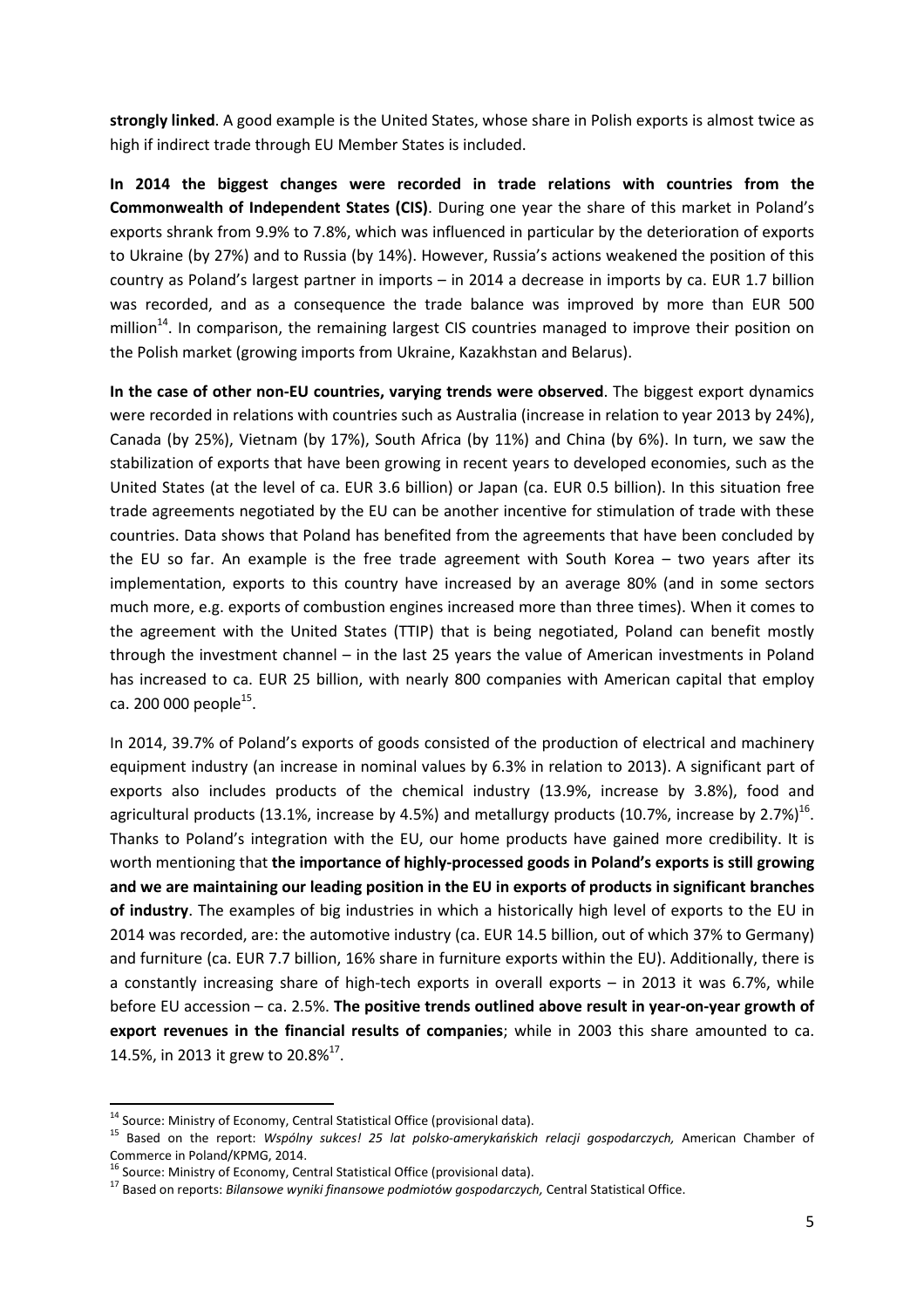**strongly linked**. A good example is the United States, whose share in Polish exports is almost twice as high if indirect trade through EU Member States is included.

**In 2014 the biggest changes were recorded in trade relations with countries from the Commonwealth of Independent States (CIS)**. During one year the share of this market in Poland's exports shrank from 9.9% to 7.8%, which was influenced in particular by the deterioration of exports to Ukraine (by 27%) and to Russia (by 14%). However, Russia's actions weakened the position of this country as Poland's largest partner in imports – in 2014 a decrease in imports by ca. EUR 1.7 billion was recorded, and as a consequence the trade balance was improved by more than EUR 500 million<sup>14</sup>. In comparison, the remaining largest CIS countries managed to improve their position on the Polish market (growing imports from Ukraine, Kazakhstan and Belarus).

**In the case of other non-EU countries, varying trends were observed**. The biggest export dynamics were recorded in relations with countries such as Australia (increase in relation to year 2013 by 24%), Canada (by 25%), Vietnam (by 17%), South Africa (by 11%) and China (by 6%). In turn, we saw the stabilization of exports that have been growing in recent years to developed economies, such as the United States (at the level of ca. EUR 3.6 billion) or Japan (ca. EUR 0.5 billion). In this situation free trade agreements negotiated by the EU can be another incentive for stimulation of trade with these countries. Data shows that Poland has benefited from the agreements that have been concluded by the EU so far. An example is the free trade agreement with South Korea – two years after its implementation, exports to this country have increased by an average 80% (and in some sectors much more, e.g. exports of combustion engines increased more than three times). When it comes to the agreement with the United States (TTIP) that is being negotiated, Poland can benefit mostly through the investment channel – in the last 25 years the value of American investments in Poland has increased to ca. EUR 25 billion, with nearly 800 companies with American capital that employ ca. 200 000 people<sup>15</sup>.

In 2014, 39.7% of Poland's exports of goods consisted of the production of electrical and machinery equipment industry (an increase in nominal values by 6.3% in relation to 2013). A significant part of exports also includes products of the chemical industry (13.9%, increase by 3.8%), food and agricultural products (13.1%, increase by 4.5%) and metallurgy products (10.7%, increase by 2.7%)<sup>16</sup>. Thanks to Poland's integration with the EU, our home products have gained more credibility. It is worth mentioning that **the importance of highly-processed goods in Poland's exports is still growing and we are maintaining our leading position in the EU in exports of products in significant branches of industry**. The examples of big industries in which a historically high level of exports to the EU in 2014 was recorded, are: the automotive industry (ca. EUR 14.5 billion, out of which 37% to Germany) and furniture (ca. EUR 7.7 billion, 16% share in furniture exports within the EU). Additionally, there is a constantly increasing share of high-tech exports in overall exports – in 2013 it was 6.7%, while before EU accession – ca. 2.5%. **The positive trends outlined above result in year-on-year growth of export revenues in the financial results of companies**; while in 2003 this share amounted to ca. 14.5%, in 2013 it grew to 20.8%<sup>17</sup>.

<sup>&</sup>lt;sup>14</sup> Source: Ministry of Economy, Central Statistical Office (provisional data).

<sup>15</sup> Based on the report: *Wspólny sukces! 25 lat polsko-amerykańskich relacji gospodarczych,* American Chamber of Commerce in Poland/KPMG, 2014.

<sup>&</sup>lt;sup>16</sup> Source: Ministry of Economy, Central Statistical Office (provisional data).

<sup>17</sup> Based on reports: *Bilansowe wyniki finansowe podmiotów gospodarczych,* Central Statistical Office.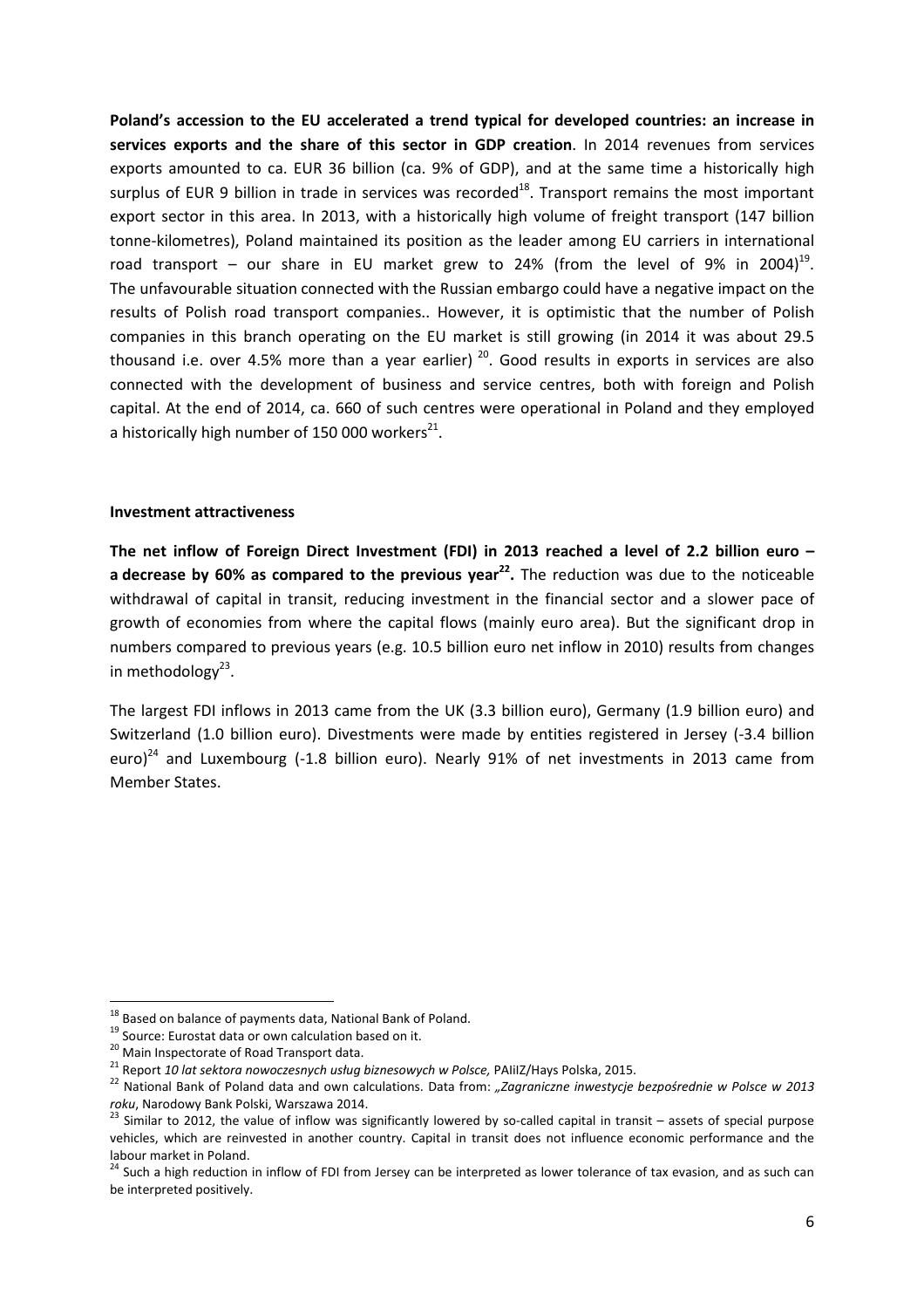**Poland's accession to the EU accelerated a trend typical for developed countries: an increase in services exports and the share of this sector in GDP creation**. In 2014 revenues from services exports amounted to ca. EUR 36 billion (ca. 9% of GDP), and at the same time a historically high surplus of EUR 9 billion in trade in services was recorded $^{18}$ . Transport remains the most important export sector in this area. In 2013, with a historically high volume of freight transport (147 billion tonne-kilometres), Poland maintained its position as the leader among EU carriers in international road transport – our share in EU market grew to 24% (from the level of 9% in 2004)<sup>19</sup>. The unfavourable situation connected with the Russian embargo could have a negative impact on the results of Polish road transport companies.. However, it is optimistic that the number of Polish companies in this branch operating on the EU market is still growing (in 2014 it was about 29.5 thousand i.e. over 4.5% more than a year earlier)<sup>20</sup>. Good results in exports in services are also connected with the development of business and service centres, both with foreign and Polish capital. At the end of 2014, ca. 660 of such centres were operational in Poland and they employed a historically high number of 150 000 workers $^{21}$ .

#### **Investment attractiveness**

**The net inflow of Foreign Direct Investment (FDI) in 2013 reached a level of 2.2 billion euro – a decrease by 60% as compared to the previous year<sup>22</sup> .** The reduction was due to the noticeable withdrawal of capital in transit, reducing investment in the financial sector and a slower pace of growth of economies from where the capital flows (mainly euro area). But the significant drop in numbers compared to previous years (e.g. 10.5 billion euro net inflow in 2010) results from changes in methodology<sup>23</sup>.

The largest FDI inflows in 2013 came from the UK (3.3 billion euro), Germany (1.9 billion euro) and Switzerland (1.0 billion euro). Divestments were made by entities registered in Jersey (-3.4 billion euro)<sup>24</sup> and Luxembourg (-1.8 billion euro). Nearly 91% of net investments in 2013 came from Member States.

<sup>&</sup>lt;sup>18</sup> Based on balance of payments data, National Bank of Poland.

<sup>19</sup> Source: Eurostat data or own calculation based on it.

<sup>&</sup>lt;sup>20</sup> Main Inspectorate of Road Transport data.

<sup>21</sup> Report *10 lat sektora nowoczesnych usług biznesowych w Polsce,* PAIiIZ/Hays Polska, 2015.

<sup>&</sup>lt;sup>22</sup> National Bank of Poland data and own calculations. Data from: "Zagraniczne inwestycje bezpośrednie w Polsce w 2013 *roku*, Narodowy Bank Polski, Warszawa 2014.

 $^{23}$  Similar to 2012, the value of inflow was significantly lowered by so-called capital in transit – assets of special purpose vehicles, which are reinvested in another country. Capital in transit does not influence economic performance and the labour market in Poland.

<sup>&</sup>lt;sup>24</sup> Such a high reduction in inflow of FDI from Jersey can be interpreted as lower tolerance of tax evasion, and as such can be interpreted positively.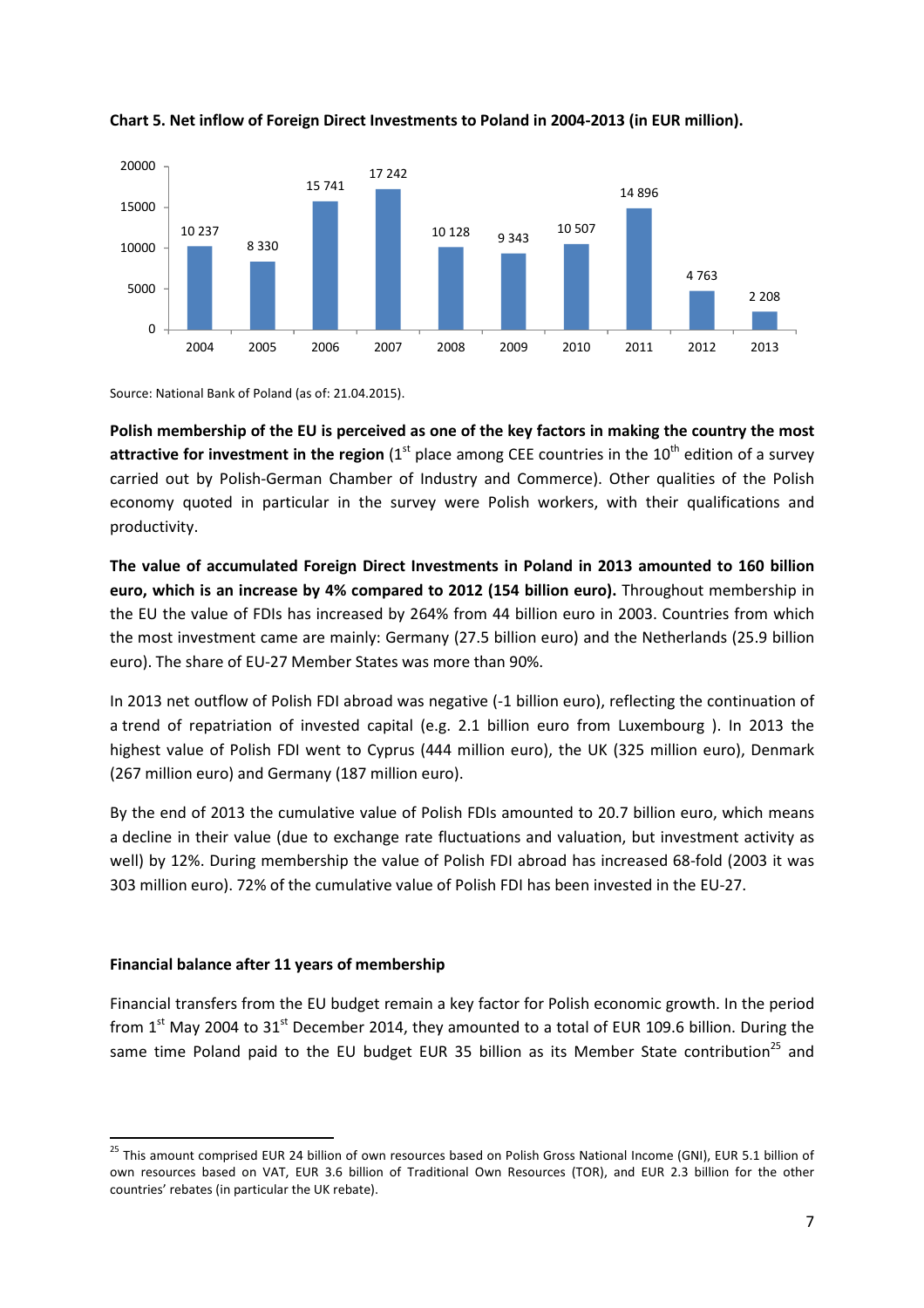



Source: National Bank of Poland (as of: 21.04.2015).

**Polish membership of the EU is perceived as one of the key factors in making the country the most**  attractive for investment in the region (1<sup>st</sup> place among CEE countries in the 10<sup>th</sup> edition of a survey carried out by Polish-German Chamber of Industry and Commerce). Other qualities of the Polish economy quoted in particular in the survey were Polish workers, with their qualifications and productivity.

**The value of accumulated Foreign Direct Investments in Poland in 2013 amounted to 160 billion euro, which is an increase by 4% compared to 2012 (154 billion euro).** Throughout membership in the EU the value of FDIs has increased by 264% from 44 billion euro in 2003. Countries from which the most investment came are mainly: Germany (27.5 billion euro) and the Netherlands (25.9 billion euro). The share of EU-27 Member States was more than 90%.

In 2013 net outflow of Polish FDI abroad was negative (-1 billion euro), reflecting the continuation of a trend of repatriation of invested capital (e.g. 2.1 billion euro from Luxembourg ). In 2013 the highest value of Polish FDI went to Cyprus (444 million euro), the UK (325 million euro), Denmark (267 million euro) and Germany (187 million euro).

By the end of 2013 the cumulative value of Polish FDIs amounted to 20.7 billion euro, which means a decline in their value (due to exchange rate fluctuations and valuation, but investment activity as well) by 12%. During membership the value of Polish FDI abroad has increased 68-fold (2003 it was 303 million euro). 72% of the cumulative value of Polish FDI has been invested in the EU-27.

#### **Financial balance after 11 years of membership**

l

Financial transfers from the EU budget remain a key factor for Polish economic growth. In the period from  $1<sup>st</sup>$  May 2004 to  $31<sup>st</sup>$  December 2014, they amounted to a total of EUR 109.6 billion. During the same time Poland paid to the EU budget EUR 35 billion as its Member State contribution<sup>25</sup> and

<sup>&</sup>lt;sup>25</sup> This amount comprised EUR 24 billion of own resources based on Polish Gross National Income (GNI), EUR 5.1 billion of own resources based on VAT, EUR 3.6 billion of Traditional Own Resources (TOR), and EUR 2.3 billion for the other countries' rebates (in particular the UK rebate).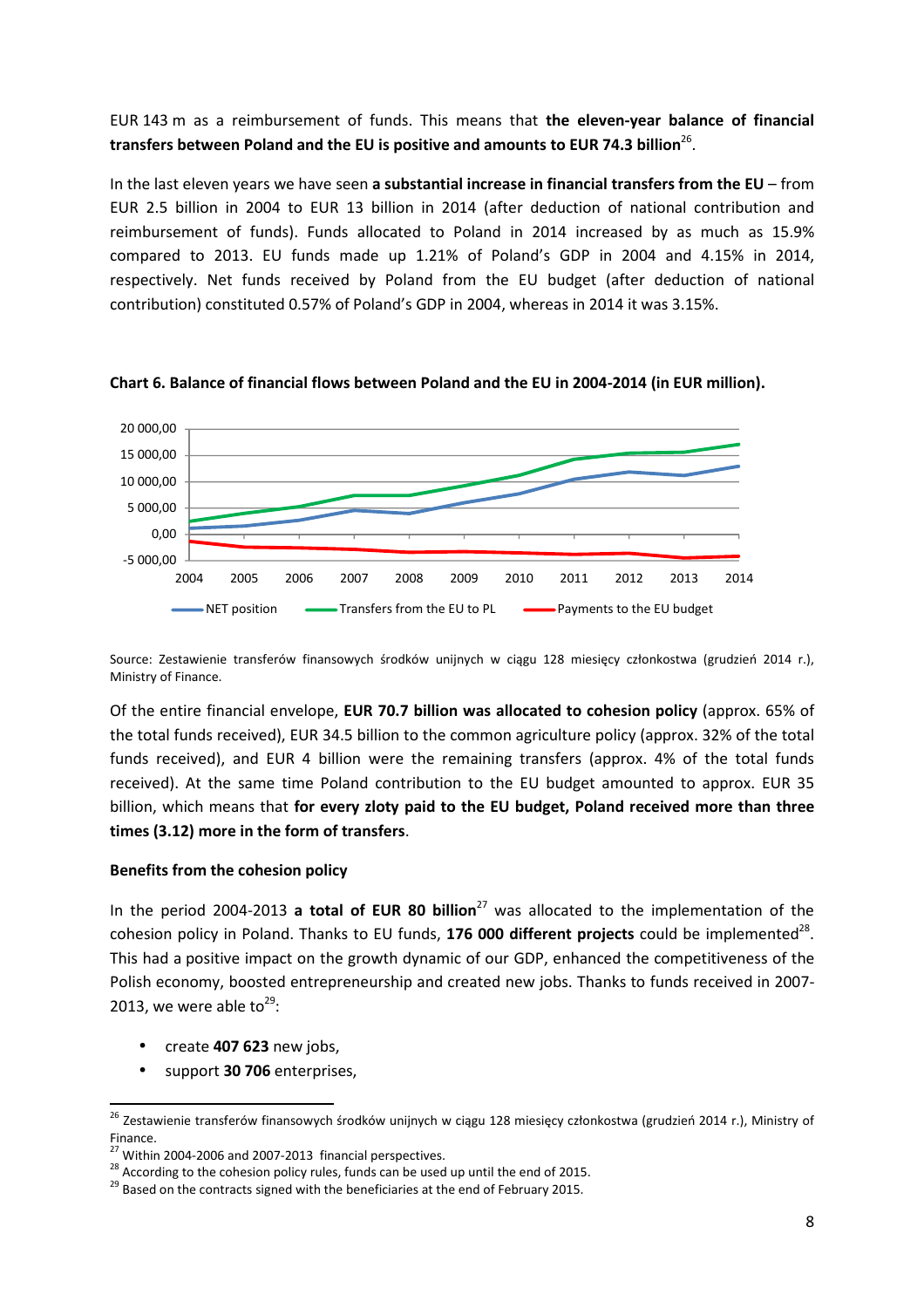## EUR 143 m as a reimbursement of funds. This means that **the eleven-year balance of financial**  transfers between Poland and the EU is positive and amounts to EUR 74.3 billion<sup>26</sup>.

In the last eleven years we have seen **a substantial increase in financial transfers from the EU** – from EUR 2.5 billion in 2004 to EUR 13 billion in 2014 (after deduction of national contribution and reimbursement of funds). Funds allocated to Poland in 2014 increased by as much as 15.9% compared to 2013. EU funds made up 1.21% of Poland's GDP in 2004 and 4.15% in 2014, respectively. Net funds received by Poland from the EU budget (after deduction of national contribution) constituted 0.57% of Poland's GDP in 2004, whereas in 2014 it was 3.15%.



**Chart 6. Balance of financial flows between Poland and the EU in 2004-2014 (in EUR million).** 

Source: Zestawienie transferów finansowych środków unijnych w ciągu 128 miesięcy członkostwa (grudzień 2014 r.), Ministry of Finance.

Of the entire financial envelope, **EUR 70.7 billion was allocated to cohesion policy** (approx. 65% of the total funds received), EUR 34.5 billion to the common agriculture policy (approx. 32% of the total funds received), and EUR 4 billion were the remaining transfers (approx. 4% of the total funds received). At the same time Poland contribution to the EU budget amounted to approx. EUR 35 billion, which means that **for every zloty paid to the EU budget, Poland received more than three times (3.12) more in the form of transfers**.

#### **Benefits from the cohesion policy**

In the period 2004-2013 **a total of EUR 80 billion**<sup>27</sup> was allocated to the implementation of the cohesion policy in Poland. Thanks to EU funds, 176 000 different projects could be implemented<sup>28</sup>. This had a positive impact on the growth dynamic of our GDP, enhanced the competitiveness of the Polish economy, boosted entrepreneurship and created new jobs. Thanks to funds received in 2007- 2013, we were able to $^{29}$ :

• create **407 623** new jobs,

• support **30 706** enterprises,

<sup>&</sup>lt;sup>26</sup> Zestawienie transferów finansowych środków unijnych w ciągu 128 miesięcy członkostwa (grudzień 2014 r.), Ministry of Finance.

 $27$  Within 2004-2006 and 2007-2013 financial perspectives.

 $28$  According to the cohesion policy rules, funds can be used up until the end of 2015.

<sup>&</sup>lt;sup>29</sup> Based on the contracts signed with the beneficiaries at the end of February 2015.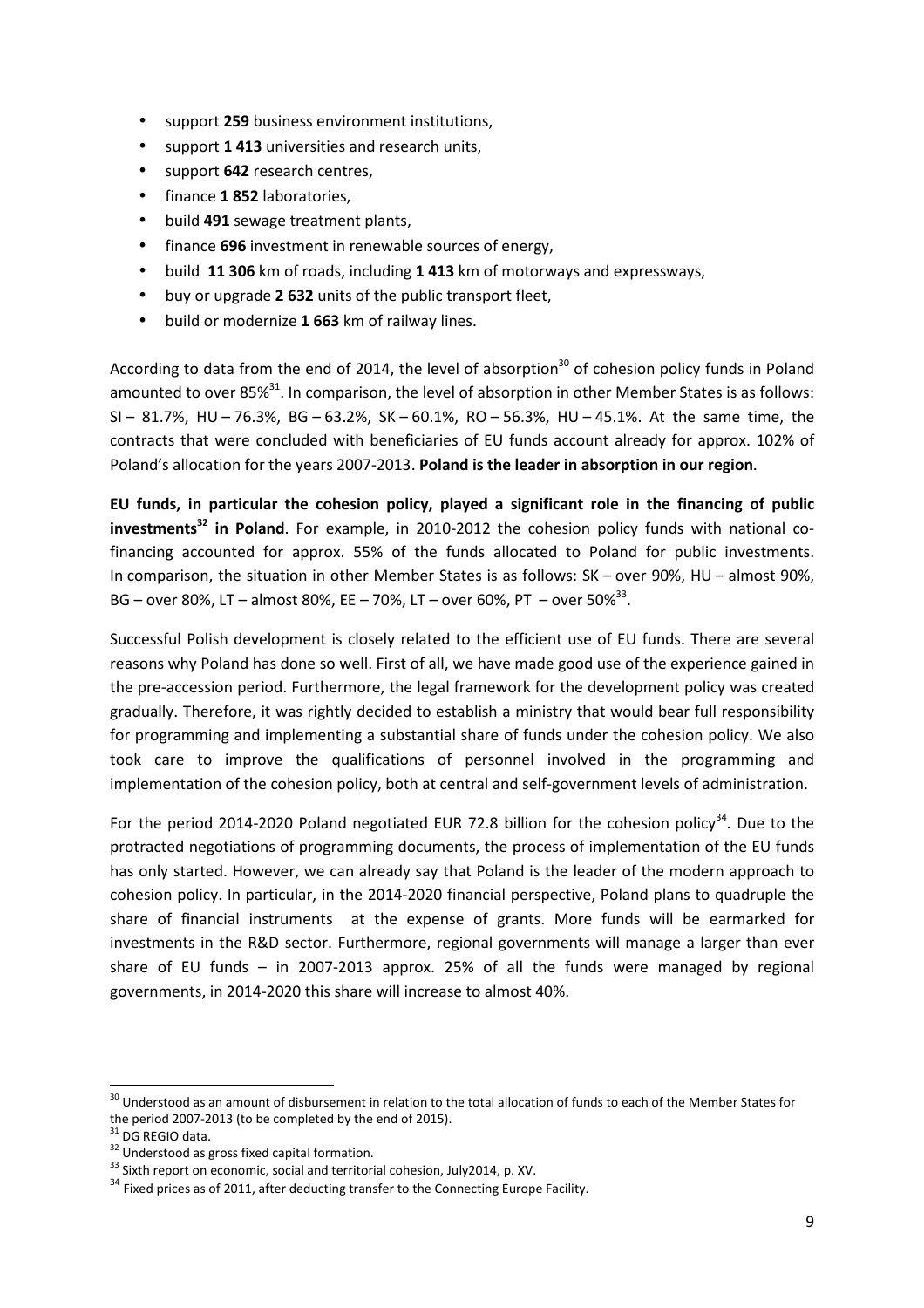- support **259** business environment institutions,
- support **1 413** universities and research units,
- support **642** research centres,
- finance **1 852** laboratories,
- build **491** sewage treatment plants,
- finance **696** investment in renewable sources of energy,
- build **11 306** km of roads, including **1 413** km of motorways and expressways,
- buy or upgrade **2 632** units of the public transport fleet,
- build or modernize **1 663** km of railway lines.

According to data from the end of 2014, the level of absorption<sup>30</sup> of cohesion policy funds in Poland amounted to over 85% $^{31}$ . In comparison, the level of absorption in other Member States is as follows: SI – 81.7%, HU – 76.3%, BG – 63.2%, SK – 60.1%, RO – 56.3%, HU – 45.1%. At the same time, the contracts that were concluded with beneficiaries of EU funds account already for approx. 102% of Poland's allocation for the years 2007-2013. **Poland is the leader in absorption in our region**.

**EU funds, in particular the cohesion policy, played a significant role in the financing of public investments<sup>32</sup> in Poland**. For example, in 2010-2012 the cohesion policy funds with national cofinancing accounted for approx. 55% of the funds allocated to Poland for public investments. In comparison, the situation in other Member States is as follows: SK – over 90%, HU – almost 90%, BG – over 80%, LT – almost 80%, EE – 70%, LT – over 60%, PT – over 50% $^{33}$ .

Successful Polish development is closely related to the efficient use of EU funds. There are several reasons why Poland has done so well. First of all, we have made good use of the experience gained in the pre-accession period. Furthermore, the legal framework for the development policy was created gradually. Therefore, it was rightly decided to establish a ministry that would bear full responsibility for programming and implementing a substantial share of funds under the cohesion policy. We also took care to improve the qualifications of personnel involved in the programming and implementation of the cohesion policy, both at central and self-government levels of administration.

For the period 2014-2020 Poland negotiated EUR 72.8 billion for the cohesion policy<sup>34</sup>. Due to the protracted negotiations of programming documents, the process of implementation of the EU funds has only started. However, we can already say that Poland is the leader of the modern approach to cohesion policy. In particular, in the 2014-2020 financial perspective, Poland plans to quadruple the share of financial instruments at the expense of grants. More funds will be earmarked for investments in the R&D sector. Furthermore, regional governments will manage a larger than ever share of EU funds – in 2007-2013 approx. 25% of all the funds were managed by regional governments, in 2014-2020 this share will increase to almost 40%.

<sup>&</sup>lt;sup>30</sup> Understood as an amount of disbursement in relation to the total allocation of funds to each of the Member States for the period 2007-2013 (to be completed by the end of 2015).

 $\overline{1}$  DG REGIO data.

<sup>&</sup>lt;sup>32</sup> Understood as gross fixed capital formation.

<sup>&</sup>lt;sup>33</sup> Sixth report on economic, social and territorial cohesion, July2014, p. XV.

 $34$  Fixed prices as of 2011, after deducting transfer to the Connecting Europe Facility.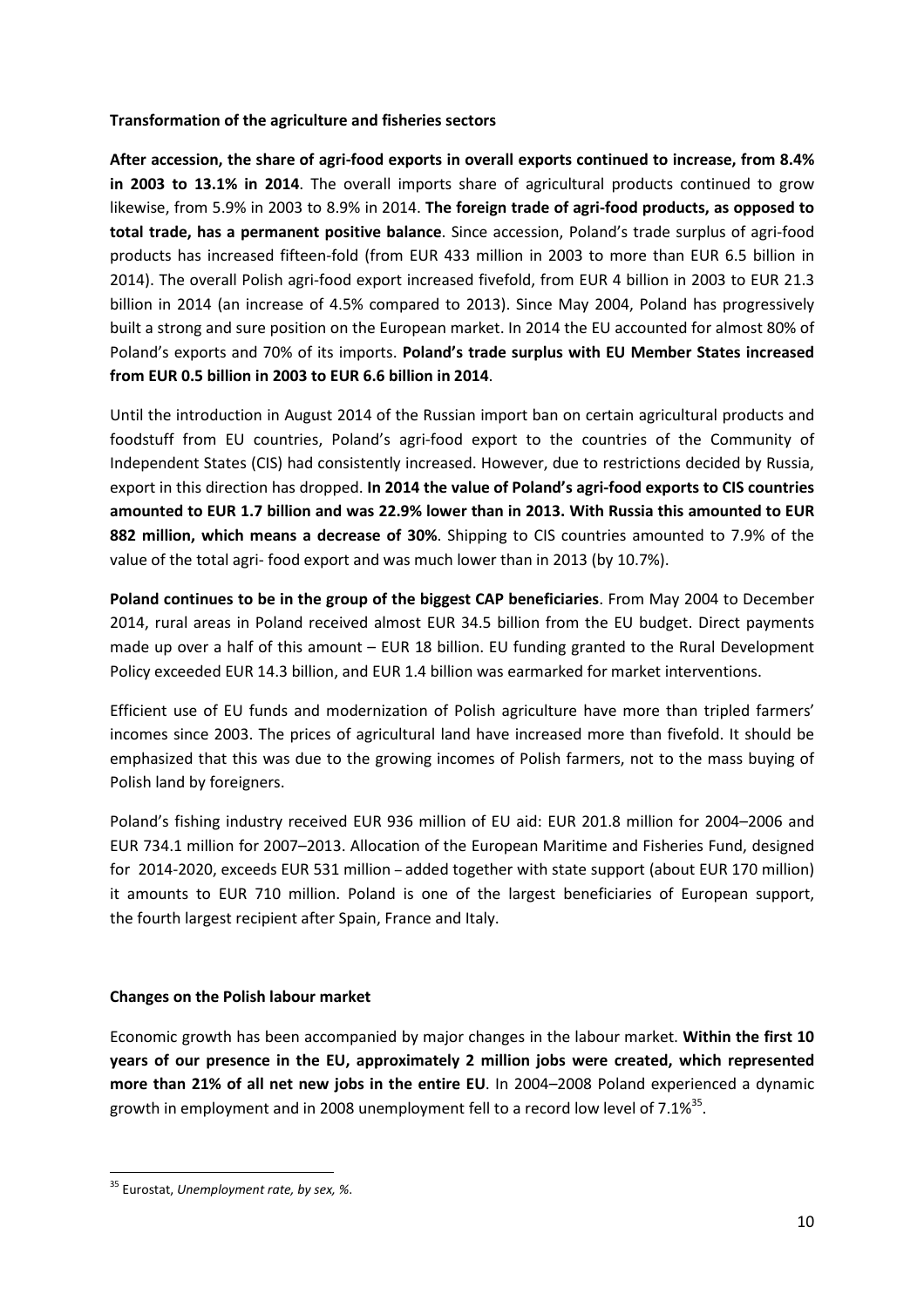#### **Transformation of the agriculture and fisheries sectors**

**After accession, the share of agri-food exports in overall exports continued to increase, from 8.4% in 2003 to 13.1% in 2014**. The overall imports share of agricultural products continued to grow likewise, from 5.9% in 2003 to 8.9% in 2014. **The foreign trade of agri-food products, as opposed to total trade, has a permanent positive balance**. Since accession, Poland's trade surplus of agri-food products has increased fifteen-fold (from EUR 433 million in 2003 to more than EUR 6.5 billion in 2014). The overall Polish agri-food export increased fivefold, from EUR 4 billion in 2003 to EUR 21.3 billion in 2014 (an increase of 4.5% compared to 2013). Since May 2004, Poland has progressively built a strong and sure position on the European market. In 2014 the EU accounted for almost 80% of Poland's exports and 70% of its imports. **Poland's trade surplus with EU Member States increased from EUR 0.5 billion in 2003 to EUR 6.6 billion in 2014**.

Until the introduction in August 2014 of the Russian import ban on certain agricultural products and foodstuff from EU countries, Poland's agri-food export to the countries of the Community of Independent States (CIS) had consistently increased. However, due to restrictions decided by Russia, export in this direction has dropped. **In 2014 the value of Poland's agri-food exports to CIS countries amounted to EUR 1.7 billion and was 22.9% lower than in 2013. With Russia this amounted to EUR 882 million, which means a decrease of 30%**. Shipping to CIS countries amounted to 7.9% of the value of the total agri- food export and was much lower than in 2013 (by 10.7%).

**Poland continues to be in the group of the biggest CAP beneficiaries**. From May 2004 to December 2014, rural areas in Poland received almost EUR 34.5 billion from the EU budget. Direct payments made up over a half of this amount – EUR 18 billion. EU funding granted to the Rural Development Policy exceeded EUR 14.3 billion, and EUR 1.4 billion was earmarked for market interventions.

Efficient use of EU funds and modernization of Polish agriculture have more than tripled farmers' incomes since 2003. The prices of agricultural land have increased more than fivefold. It should be emphasized that this was due to the growing incomes of Polish farmers, not to the mass buying of Polish land by foreigners.

Poland's fishing industry received EUR 936 million of EU aid: EUR 201.8 million for 2004–2006 and EUR 734.1 million for 2007–2013. Allocation of the European Maritime and Fisheries Fund, designed for 2014-2020, exceeds EUR 531 million – added together with state support (about EUR 170 million) it amounts to EUR 710 million. Poland is one of the largest beneficiaries of European support, the fourth largest recipient after Spain, France and Italy.

## **Changes on the Polish labour market**

Economic growth has been accompanied by major changes in the labour market. **Within the first 10 years of our presence in the EU, approximately 2 million jobs were created, which represented more than 21% of all net new jobs in the entire EU**. In 2004–2008 Poland experienced a dynamic growth in employment and in 2008 unemployment fell to a record low level of 7.1%<sup>35</sup>.

<sup>35</sup> Eurostat, *Unemployment rate, by sex, %*.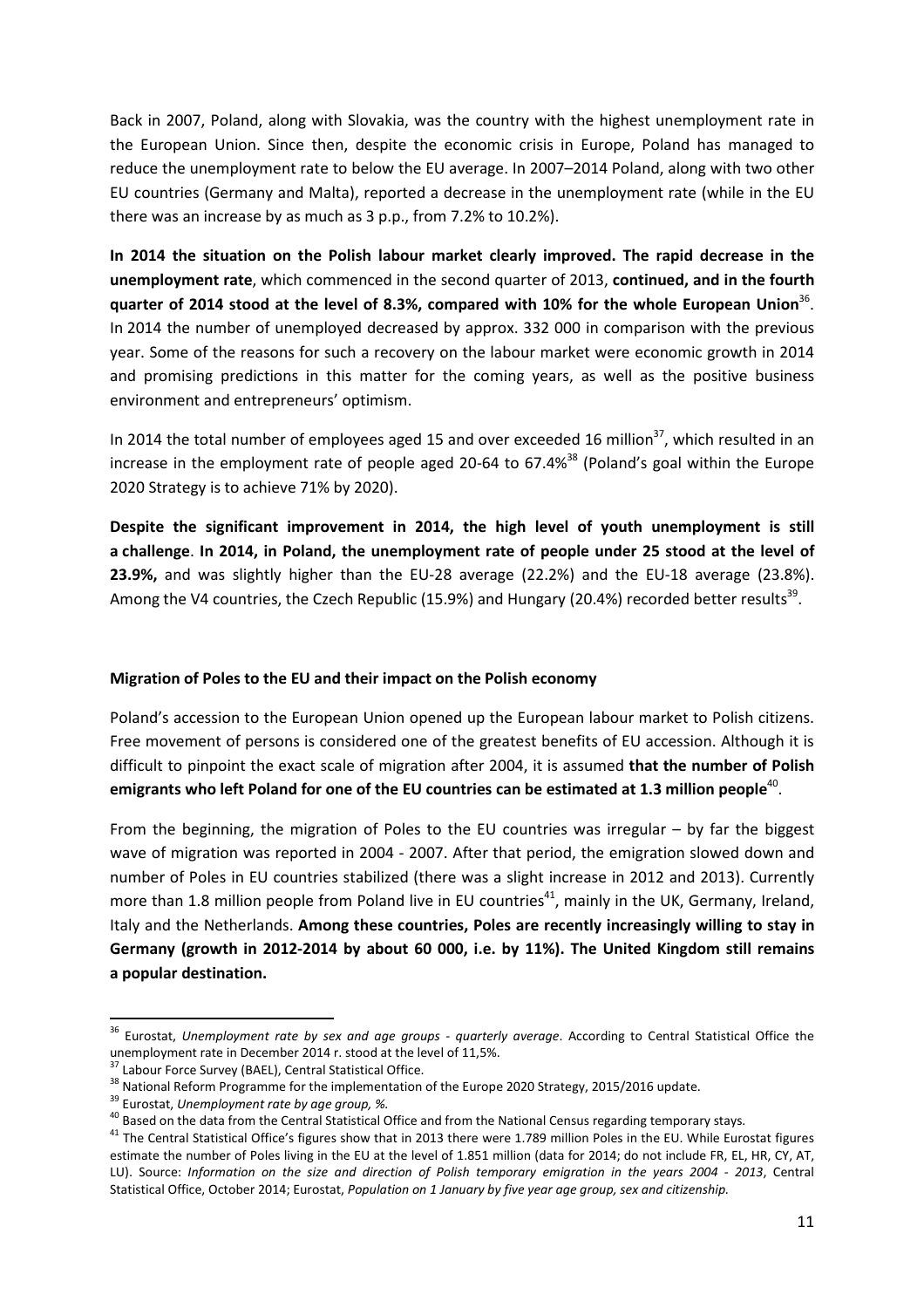Back in 2007, Poland, along with Slovakia, was the country with the highest unemployment rate in the European Union. Since then, despite the economic crisis in Europe, Poland has managed to reduce the unemployment rate to below the EU average. In 2007–2014 Poland, along with two other EU countries (Germany and Malta), reported a decrease in the unemployment rate (while in the EU there was an increase by as much as 3 p.p., from 7.2% to 10.2%).

**In 2014 the situation on the Polish labour market clearly improved. The rapid decrease in the unemployment rate**, which commenced in the second quarter of 2013, **continued, and in the fourth**  quarter of 2014 stood at the level of 8.3%, compared with 10% for the whole European Union<sup>36</sup>. In 2014 the number of unemployed decreased by approx. 332 000 in comparison with the previous year. Some of the reasons for such a recovery on the labour market were economic growth in 2014 and promising predictions in this matter for the coming years, as well as the positive business environment and entrepreneurs' optimism.

In 2014 the total number of employees aged 15 and over exceeded 16 million<sup>37</sup>, which resulted in an increase in the employment rate of people aged 20-64 to 67.4%<sup>38</sup> (Poland's goal within the Europe 2020 Strategy is to achieve 71% by 2020).

**Despite the significant improvement in 2014, the high level of youth unemployment is still a challenge**. **In 2014, in Poland, the unemployment rate of people under 25 stood at the level of 23.9%,** and was slightly higher than the EU-28 average (22.2%) and the EU-18 average (23.8%). Among the V4 countries, the Czech Republic (15.9%) and Hungary (20.4%) recorded better results<sup>39</sup>.

#### **Migration of Poles to the EU and their impact on the Polish economy**

Poland's accession to the European Union opened up the European labour market to Polish citizens. Free movement of persons is considered one of the greatest benefits of EU accession. Although it is difficult to pinpoint the exact scale of migration after 2004, it is assumed **that the number of Polish**  emigrants who left Poland for one of the EU countries can be estimated at 1.3 million people<sup>40</sup>.

From the beginning, the migration of Poles to the EU countries was irregular – by far the biggest wave of migration was reported in 2004 - 2007. After that period, the emigration slowed down and number of Poles in EU countries stabilized (there was a slight increase in 2012 and 2013). Currently more than 1.8 million people from Poland live in EU countries<sup>41</sup>, mainly in the UK, Germany, Ireland, Italy and the Netherlands. **Among these countries, Poles are recently increasingly willing to stay in Germany (growth in 2012-2014 by about 60 000, i.e. by 11%). The United Kingdom still remains a popular destination.** 

<sup>36</sup> Eurostat, *Unemployment rate by sex and age groups - quarterly average*. According to Central Statistical Office the unemployment rate in December 2014 r. stood at the level of 11,5%.

Labour Force Survey (BAEL), Central Statistical Office.

<sup>&</sup>lt;sup>38</sup> National Reform Programme for the implementation of the Europe 2020 Strategy, 2015/2016 update.

<sup>39</sup> Eurostat, *Unemployment rate by age group, %.*

<sup>40</sup> Based on the data from the Central Statistical Office and from the National Census regarding temporary stays.

<sup>&</sup>lt;sup>41</sup> The Central Statistical Office's figures show that in 2013 there were 1.789 million Poles in the EU. While Eurostat figures estimate the number of Poles living in the EU at the level of 1.851 million (data for 2014; do not include FR, EL, HR, CY, AT, LU). Source: *Information on the size and direction of Polish temporary emigration in the years 2004 - 2013*, Central Statistical Office, October 2014; Eurostat, *Population on 1 January by five year age group, sex and citizenship.*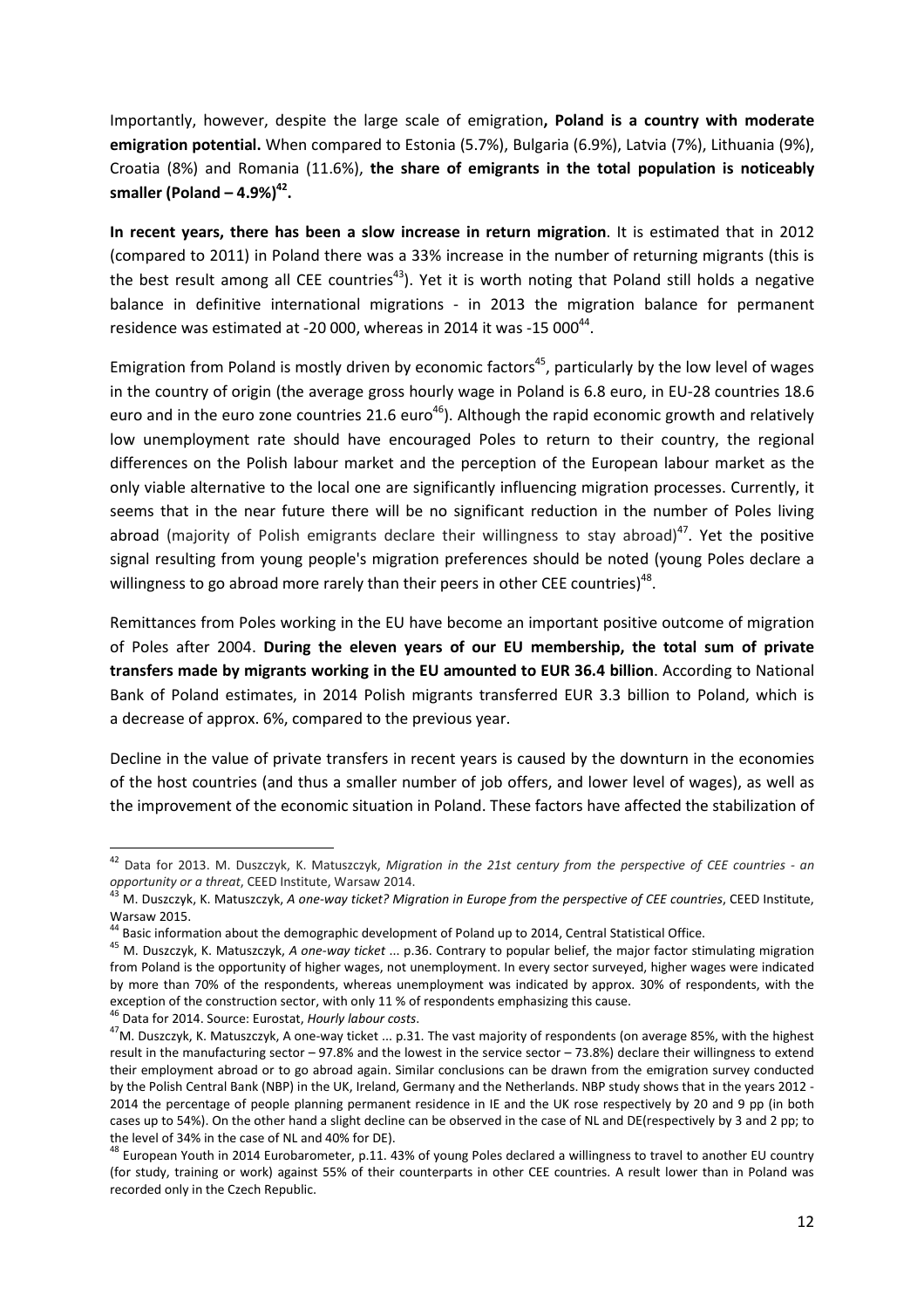Importantly, however, despite the large scale of emigration**, Poland is a country with moderate emigration potential.** When compared to Estonia (5.7%), Bulgaria (6.9%), Latvia (7%), Lithuania (9%), Croatia (8%) and Romania (11.6%), **the share of emigrants in the total population is noticeably smaller (Poland – 4.9%)<sup>42</sup> .**

**In recent years, there has been a slow increase in return migration**. It is estimated that in 2012 (compared to 2011) in Poland there was a 33% increase in the number of returning migrants (this is the best result among all CEE countries<sup>43</sup>). Yet it is worth noting that Poland still holds a negative balance in definitive international migrations - in 2013 the migration balance for permanent residence was estimated at -20 000, whereas in 2014 it was -15 000 $^{44}$ .

Emigration from Poland is mostly driven by economic factors<sup>45</sup>, particularly by the low level of wages in the country of origin (the average gross hourly wage in Poland is 6.8 euro, in EU-28 countries 18.6 euro and in the euro zone countries 21.6 euro<sup>46</sup>). Although the rapid economic growth and relatively low unemployment rate should have encouraged Poles to return to their country, the regional differences on the Polish labour market and the perception of the European labour market as the only viable alternative to the local one are significantly influencing migration processes. Currently, it seems that in the near future there will be no significant reduction in the number of Poles living abroad (majority of Polish emigrants declare their willingness to stay abroad)<sup>47</sup>. Yet the positive signal resulting from young people's migration preferences should be noted (young Poles declare a willingness to go abroad more rarely than their peers in other CEE countries)<sup>48</sup>.

Remittances from Poles working in the EU have become an important positive outcome of migration of Poles after 2004. **During the eleven years of our EU membership, the total sum of private transfers made by migrants working in the EU amounted to EUR 36.4 billion**. According to National Bank of Poland estimates, in 2014 Polish migrants transferred EUR 3.3 billion to Poland, which is a decrease of approx. 6%, compared to the previous year.

Decline in the value of private transfers in recent years is caused by the downturn in the economies of the host countries (and thus a smaller number of job offers, and lower level of wages), as well as the improvement of the economic situation in Poland. These factors have affected the stabilization of

<sup>46</sup> Data for 2014. Source: Eurostat, *Hourly labour costs*.

<sup>42</sup> Data for 2013. M. Duszczyk, K. Matuszczyk, *Migration in the 21st century from the perspective of CEE countries - an opportunity or a threat*, CEED Institute, Warsaw 2014.

<sup>43</sup> M. Duszczyk, K. Matuszczyk, *A one-way ticket? Migration in Europe from the perspective of CEE countries*, CEED Institute, Warsaw 2015.

<sup>&</sup>lt;sup>44</sup> Basic information about the demographic development of Poland up to 2014, Central Statistical Office.

<sup>45</sup> M. Duszczyk, K. Matuszczyk, *A one-way ticket* ... p.36. Contrary to popular belief, the major factor stimulating migration from Poland is the opportunity of higher wages, not unemployment. In every sector surveyed, higher wages were indicated by more than 70% of the respondents, whereas unemployment was indicated by approx. 30% of respondents, with the exception of the construction sector, with only 11 % of respondents emphasizing this cause.

<sup>47</sup>M. Duszczyk, K. Matuszczyk, A one-way ticket ... p.31. The vast majority of respondents (on average 85%, with the highest result in the manufacturing sector – 97.8% and the lowest in the service sector – 73.8%) declare their willingness to extend their employment abroad or to go abroad again. Similar conclusions can be drawn from the emigration survey conducted by the Polish Central Bank (NBP) in the UK, Ireland, Germany and the Netherlands. NBP study shows that in the years 2012 - 2014 the percentage of people planning permanent residence in IE and the UK rose respectively by 20 and 9 pp (in both cases up to 54%). On the other hand a slight decline can be observed in the case of NL and DE(respectively by 3 and 2 pp; to the level of 34% in the case of NL and 40% for DE).

<sup>&</sup>lt;sup>48</sup> European Youth in 2014 Eurobarometer, p.11. 43% of young Poles declared a willingness to travel to another EU country (for study, training or work) against 55% of their counterparts in other CEE countries. A result lower than in Poland was recorded only in the Czech Republic.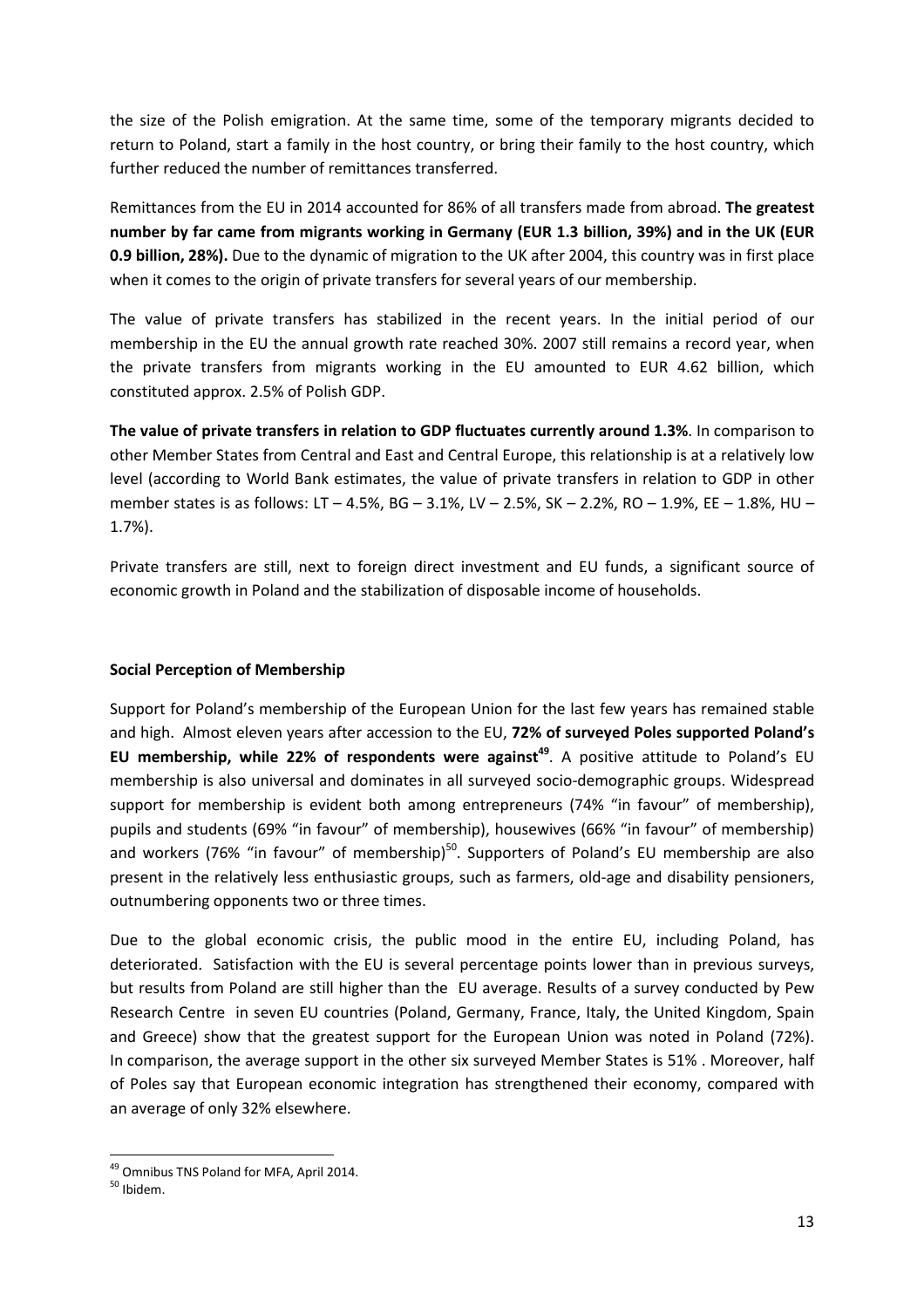the size of the Polish emigration. At the same time, some of the temporary migrants decided to return to Poland, start a family in the host country, or bring their family to the host country, which further reduced the number of remittances transferred.

Remittances from the EU in 2014 accounted for 86% of all transfers made from abroad. **The greatest number by far came from migrants working in Germany (EUR 1.3 billion, 39%) and in the UK (EUR 0.9 billion, 28%).** Due to the dynamic of migration to the UK after 2004, this country was in first place when it comes to the origin of private transfers for several years of our membership.

The value of private transfers has stabilized in the recent years. In the initial period of our membership in the EU the annual growth rate reached 30%. 2007 still remains a record year, when the private transfers from migrants working in the EU amounted to EUR 4.62 billion, which constituted approx. 2.5% of Polish GDP.

**The value of private transfers in relation to GDP fluctuates currently around 1.3%**. In comparison to other Member States from Central and East and Central Europe, this relationship is at a relatively low level (according to World Bank estimates, the value of private transfers in relation to GDP in other member states is as follows: LT – 4.5%, BG – 3.1%, LV – 2.5%, SK – 2.2%, RO – 1.9%, EE – 1.8%, HU – 1.7%).

Private transfers are still, next to foreign direct investment and EU funds, a significant source of economic growth in Poland and the stabilization of disposable income of households.

## **Social Perception of Membership**

Support for Poland's membership of the European Union for the last few years has remained stable and high. Almost eleven years after accession to the EU, **72% of surveyed Poles supported Poland's EU membership, while 22% of respondents were against<sup>49</sup>. A positive attitude to Poland's EU** membership is also universal and dominates in all surveyed socio-demographic groups. Widespread support for membership is evident both among entrepreneurs (74% "in favour" of membership), pupils and students (69% "in favour" of membership), housewives (66% "in favour" of membership) and workers (76% "in favour" of membership) $50$ . Supporters of Poland's EU membership are also present in the relatively less enthusiastic groups, such as farmers, old-age and disability pensioners, outnumbering opponents two or three times.

Due to the global economic crisis, the public mood in the entire EU, including Poland, has deteriorated. Satisfaction with the EU is several percentage points lower than in previous surveys, but results from Poland are still higher than the EU average. Results of a survey conducted by Pew Research Centre in seven EU countries (Poland, Germany, France, Italy, the United Kingdom, Spain and Greece) show that the greatest support for the European Union was noted in Poland (72%). In comparison, the average support in the other six surveyed Member States is 51% . Moreover, half of Poles say that European economic integration has strengthened their economy, compared with an average of only 32% elsewhere.

<sup>49</sup> Omnibus TNS Poland for MFA, April 2014.

<sup>50</sup> Ibidem.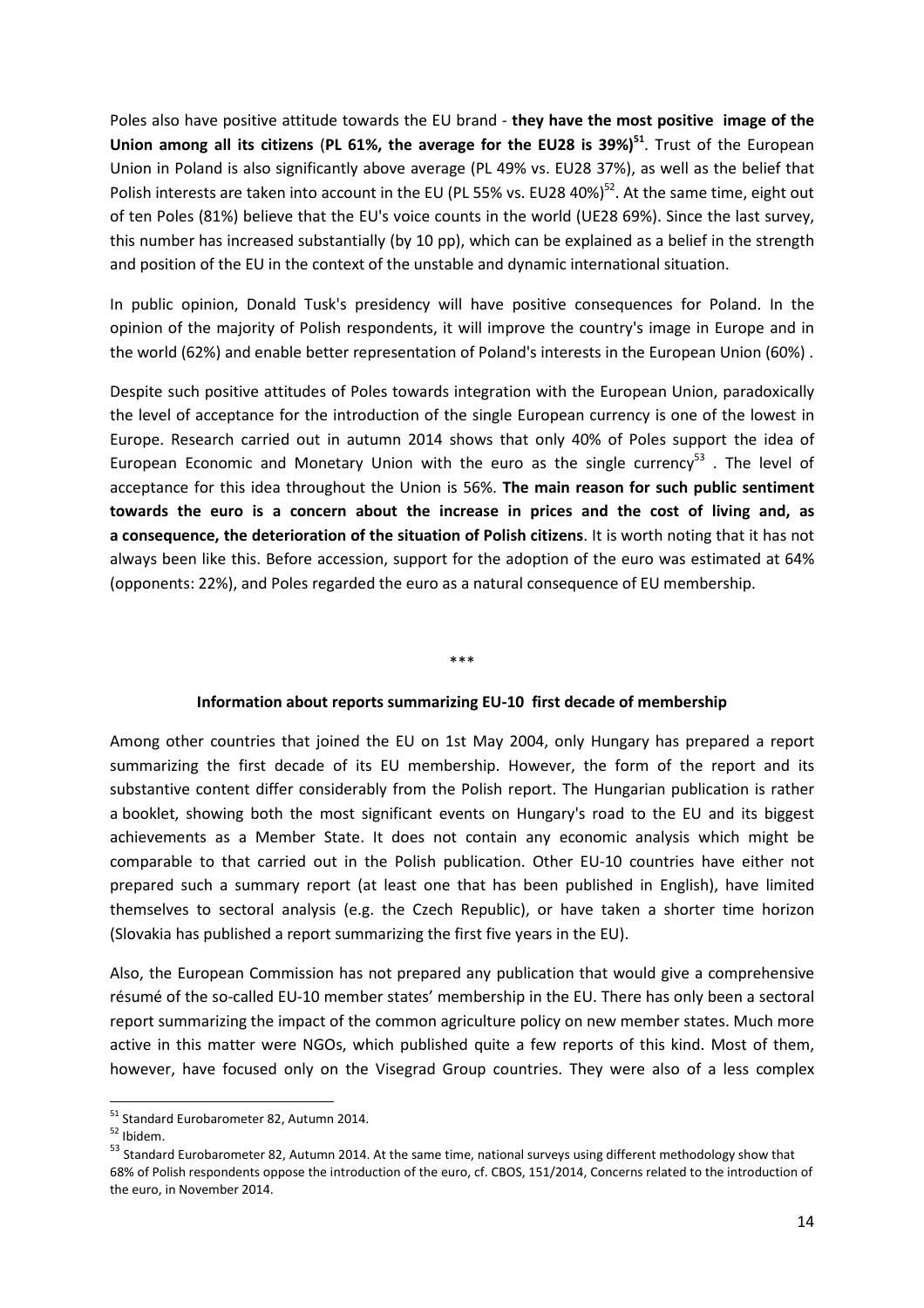Poles also have positive attitude towards the EU brand - **they have the most positive image of the Union among all its citizens** (**PL 61%, the average for the EU28 is 39%)<sup>51</sup>**. Trust of the European Union in Poland is also significantly above average (PL 49% vs. EU28 37%), as well as the belief that Polish interests are taken into account in the EU (PL 55% vs. EU28 40%)<sup>52</sup>. At the same time, eight out of ten Poles (81%) believe that the EU's voice counts in the world (UE28 69%). Since the last survey, this number has increased substantially (by 10 pp), which can be explained as a belief in the strength and position of the EU in the context of the unstable and dynamic international situation.

In public opinion, Donald Tusk's presidency will have positive consequences for Poland. In the opinion of the majority of Polish respondents, it will improve the country's image in Europe and in the world (62%) and enable better representation of Poland's interests in the European Union (60%) .

Despite such positive attitudes of Poles towards integration with the European Union, paradoxically the level of acceptance for the introduction of the single European currency is one of the lowest in Europe. Research carried out in autumn 2014 shows that only 40% of Poles support the idea of European Economic and Monetary Union with the euro as the single currency<sup>53</sup>. The level of acceptance for this idea throughout the Union is 56%. **The main reason for such public sentiment towards the euro is a concern about the increase in prices and the cost of living and, as a consequence, the deterioration of the situation of Polish citizens**. It is worth noting that it has not always been like this. Before accession, support for the adoption of the euro was estimated at 64% (opponents: 22%), and Poles regarded the euro as a natural consequence of EU membership.

#### \*\*\*

#### **Information about reports summarizing EU-10 first decade of membership**

Among other countries that joined the EU on 1st May 2004, only Hungary has prepared a report summarizing the first decade of its EU membership. However, the form of the report and its substantive content differ considerably from the Polish report. The Hungarian publication is rather a booklet, showing both the most significant events on Hungary's road to the EU and its biggest achievements as a Member State. It does not contain any economic analysis which might be comparable to that carried out in the Polish publication. Other EU-10 countries have either not prepared such a summary report (at least one that has been published in English), have limited themselves to sectoral analysis (e.g. the Czech Republic), or have taken a shorter time horizon (Slovakia has published a report summarizing the first five years in the EU).

Also, the European Commission has not prepared any publication that would give a comprehensive résumé of the so-called EU-10 member states' membership in the EU. There has only been a sectoral report summarizing the impact of the common agriculture policy on new member states. Much more active in this matter were NGOs, which published quite a few reports of this kind. Most of them, however, have focused only on the Visegrad Group countries. They were also of a less complex

<sup>51</sup> Standard Eurobarometer 82, Autumn 2014.

 $52$  Ibidem.

<sup>53</sup> Standard Eurobarometer 82, Autumn 2014. At the same time, national surveys using different methodology show that 68% of Polish respondents oppose the introduction of the euro, cf. CBOS, 151/2014, Concerns related to the introduction of the euro, in November 2014.